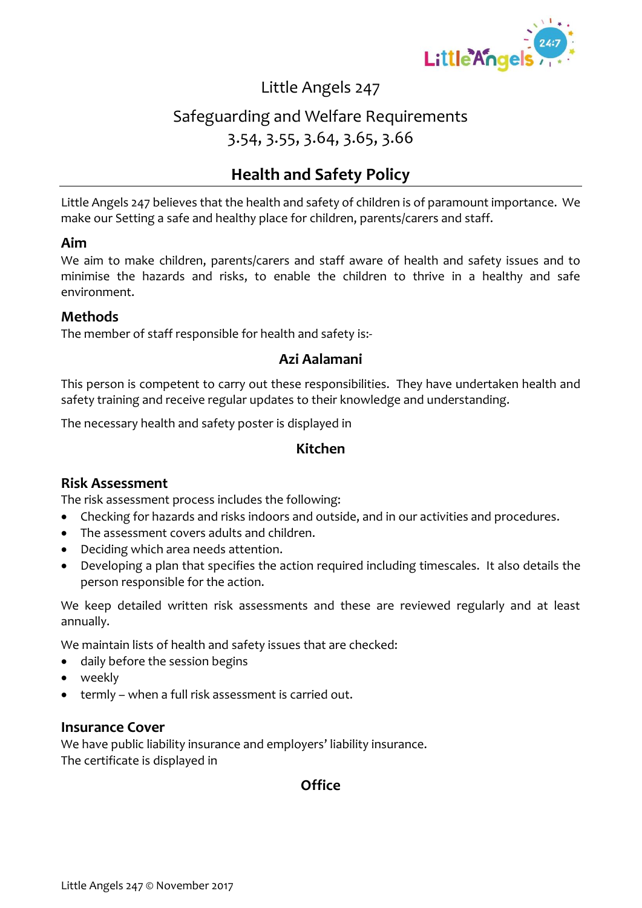

# Safeguarding and Welfare Requirements 3.54, 3.55, 3.64, 3.65, 3.66

## **Health and Safety Policy**

Little Angels 247 believes that the health and safety of children is of paramount importance. We make our Setting a safe and healthy place for children, parents/carers and staff.

#### **Aim**

We aim to make children, parents/carers and staff aware of health and safety issues and to minimise the hazards and risks, to enable the children to thrive in a healthy and safe environment.

#### **Methods**

The member of staff responsible for health and safety is:-

### **Azi Aalamani**

This person is competent to carry out these responsibilities. They have undertaken health and safety training and receive regular updates to their knowledge and understanding.

The necessary health and safety poster is displayed in

### **Kitchen**

#### **Risk Assessment**

The risk assessment process includes the following:

- Checking for hazards and risks indoors and outside, and in our activities and procedures.
- The assessment covers adults and children.
- Deciding which area needs attention.
- Developing a plan that specifies the action required including timescales. It also details the person responsible for the action.

We keep detailed written risk assessments and these are reviewed regularly and at least annually.

We maintain lists of health and safety issues that are checked:

- daily before the session begins
- weekly
- termly when a full risk assessment is carried out.

#### **Insurance Cover**

We have public liability insurance and employers' liability insurance. The certificate is displayed in

### **Office**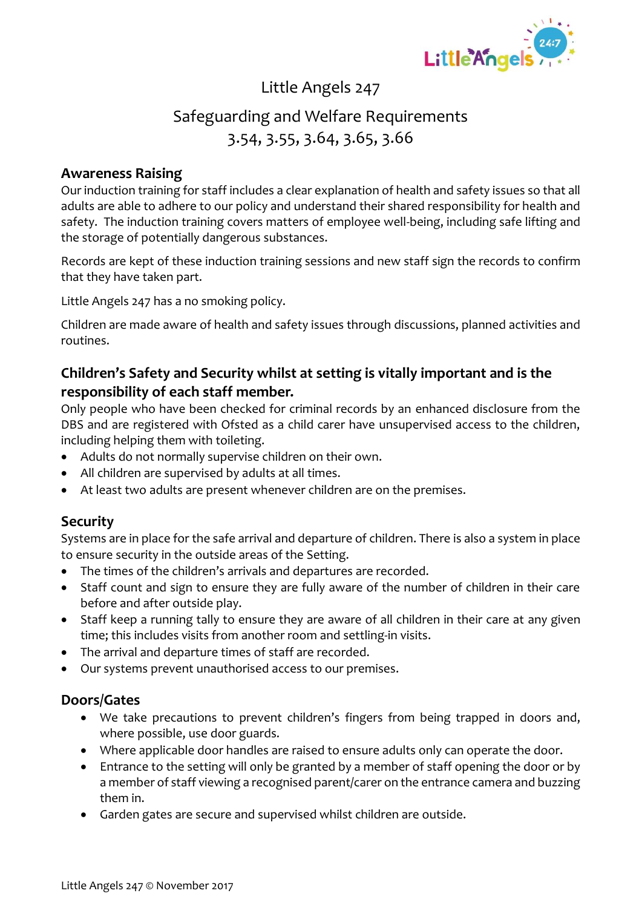

# Safeguarding and Welfare Requirements 3.54, 3.55, 3.64, 3.65, 3.66

#### **Awareness Raising**

Our induction training for staff includes a clear explanation of health and safety issues so that all adults are able to adhere to our policy and understand their shared responsibility for health and safety. The induction training covers matters of employee well-being, including safe lifting and the storage of potentially dangerous substances.

Records are kept of these induction training sessions and new staff sign the records to confirm that they have taken part.

Little Angels 247 has a no smoking policy.

Children are made aware of health and safety issues through discussions, planned activities and routines.

### **Children's Safety and Security whilst at setting is vitally important and is the responsibility of each staff member.**

Only people who have been checked for criminal records by an enhanced disclosure from the DBS and are registered with Ofsted as a child carer have unsupervised access to the children, including helping them with toileting.

- Adults do not normally supervise children on their own.
- All children are supervised by adults at all times.
- At least two adults are present whenever children are on the premises.

## **Security**

Systems are in place for the safe arrival and departure of children. There is also a system in place to ensure security in the outside areas of the Setting.

- The times of the children's arrivals and departures are recorded.
- Staff count and sign to ensure they are fully aware of the number of children in their care before and after outside play.
- Staff keep a running tally to ensure they are aware of all children in their care at any given time; this includes visits from another room and settling-in visits.
- The arrival and departure times of staff are recorded.
- Our systems prevent unauthorised access to our premises.

### **Doors/Gates**

- We take precautions to prevent children's fingers from being trapped in doors and, where possible, use door guards.
- Where applicable door handles are raised to ensure adults only can operate the door.
- Entrance to the setting will only be granted by a member of staff opening the door or by a member of staff viewing a recognised parent/carer on the entrance camera and buzzing them in.
- Garden gates are secure and supervised whilst children are outside.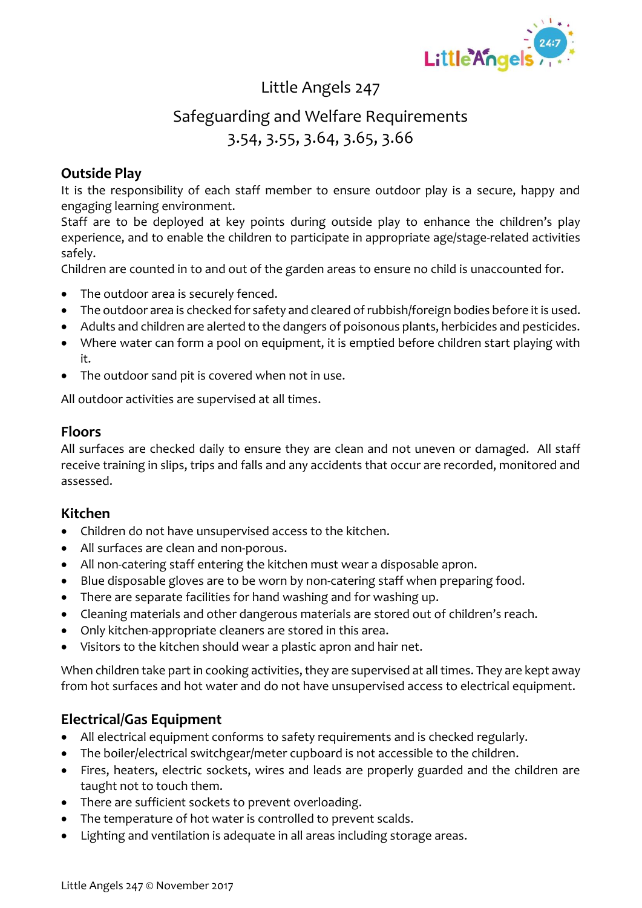

# Safeguarding and Welfare Requirements 3.54, 3.55, 3.64, 3.65, 3.66

### **Outside Play**

It is the responsibility of each staff member to ensure outdoor play is a secure, happy and engaging learning environment.

Staff are to be deployed at key points during outside play to enhance the children's play experience, and to enable the children to participate in appropriate age/stage-related activities safely.

Children are counted in to and out of the garden areas to ensure no child is unaccounted for.

- The outdoor area is securely fenced.
- The outdoor area is checked for safety and cleared of rubbish/foreign bodies before it is used.
- Adults and children are alerted to the dangers of poisonous plants, herbicides and pesticides.
- Where water can form a pool on equipment, it is emptied before children start playing with it.
- The outdoor sand pit is covered when not in use.

All outdoor activities are supervised at all times.

### **Floors**

All surfaces are checked daily to ensure they are clean and not uneven or damaged. All staff receive training in slips, trips and falls and any accidents that occur are recorded, monitored and assessed.

#### **Kitchen**

- Children do not have unsupervised access to the kitchen.
- All surfaces are clean and non-porous.
- All non-catering staff entering the kitchen must wear a disposable apron.
- Blue disposable gloves are to be worn by non-catering staff when preparing food.
- There are separate facilities for hand washing and for washing up.
- Cleaning materials and other dangerous materials are stored out of children's reach.
- Only kitchen-appropriate cleaners are stored in this area.
- Visitors to the kitchen should wear a plastic apron and hair net.

When children take part in cooking activities, they are supervised at all times. They are kept away from hot surfaces and hot water and do not have unsupervised access to electrical equipment.

#### **Electrical/Gas Equipment**

- All electrical equipment conforms to safety requirements and is checked regularly.
- The boiler/electrical switchgear/meter cupboard is not accessible to the children.
- Fires, heaters, electric sockets, wires and leads are properly guarded and the children are taught not to touch them.
- There are sufficient sockets to prevent overloading.
- The temperature of hot water is controlled to prevent scalds.
- Lighting and ventilation is adequate in all areas including storage areas.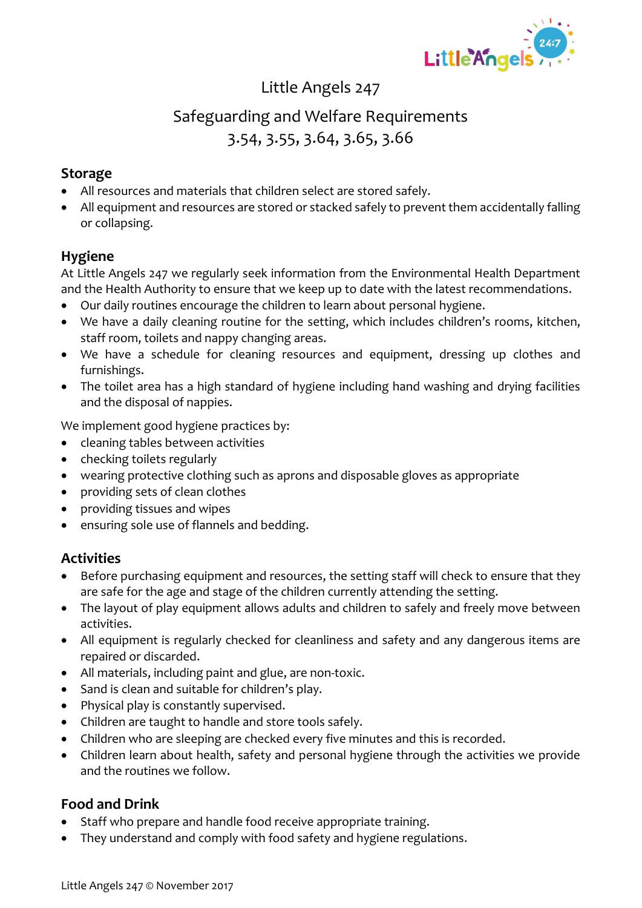

# Safeguarding and Welfare Requirements 3.54, 3.55, 3.64, 3.65, 3.66

### **Storage**

- All resources and materials that children select are stored safely.
- All equipment and resources are stored or stacked safely to prevent them accidentally falling or collapsing.

### **Hygiene**

At Little Angels 247 we regularly seek information from the Environmental Health Department and the Health Authority to ensure that we keep up to date with the latest recommendations.

- Our daily routines encourage the children to learn about personal hygiene.
- We have a daily cleaning routine for the setting, which includes children's rooms, kitchen, staff room, toilets and nappy changing areas.
- We have a schedule for cleaning resources and equipment, dressing up clothes and furnishings.
- The toilet area has a high standard of hygiene including hand washing and drying facilities and the disposal of nappies.

We implement good hygiene practices by:

- cleaning tables between activities
- checking toilets regularly
- wearing protective clothing such as aprons and disposable gloves as appropriate
- providing sets of clean clothes
- providing tissues and wipes
- ensuring sole use of flannels and bedding.

## **Activities**

- Before purchasing equipment and resources, the setting staff will check to ensure that they are safe for the age and stage of the children currently attending the setting.
- The layout of play equipment allows adults and children to safely and freely move between activities.
- All equipment is regularly checked for cleanliness and safety and any dangerous items are repaired or discarded.
- All materials, including paint and glue, are non-toxic.
- Sand is clean and suitable for children's play.
- Physical play is constantly supervised.
- Children are taught to handle and store tools safely.
- Children who are sleeping are checked every five minutes and this is recorded.
- Children learn about health, safety and personal hygiene through the activities we provide and the routines we follow.

## **Food and Drink**

- Staff who prepare and handle food receive appropriate training.
- They understand and comply with food safety and hygiene regulations.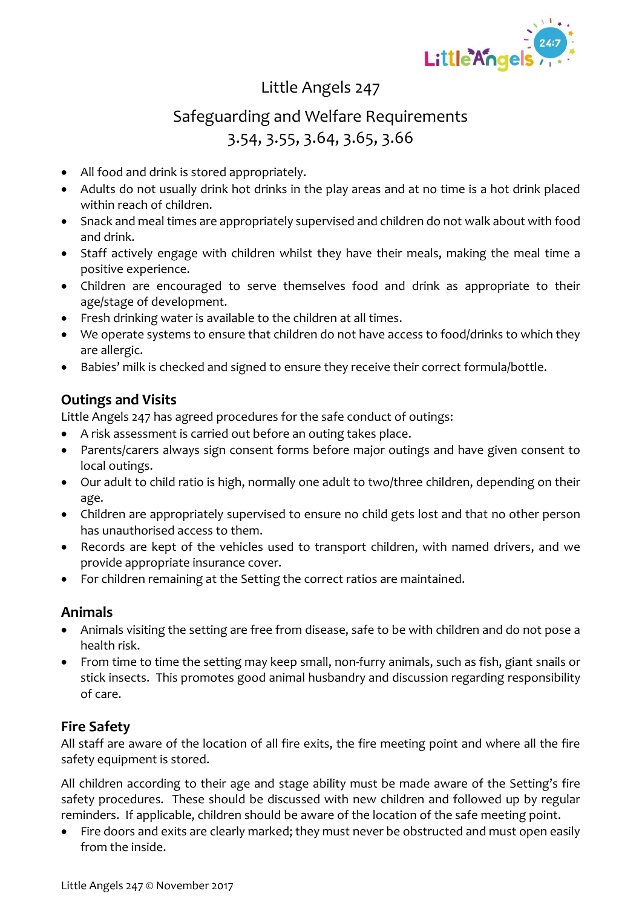

# Safeguarding and Welfare Requirements 3.54, 3.55, 3.64, 3.65, 3.66

- All food and drink is stored appropriately.
- Adults do not usually drink hot drinks in the play areas and at no time is a hot drink placed within reach of children.
- Snack and meal times are appropriately supervised and children do not walk about with food and drink.
- Staff actively engage with children whilst they have their meals, making the meal time a positive experience.
- Children are encouraged to serve themselves food and drink as appropriate to their age/stage of development.
- Fresh drinking water is available to the children at all times.
- We operate systems to ensure that children do not have access to food/drinks to which they are allergic.
- Babies' milk is checked and signed to ensure they receive their correct formula/bottle.

### **Outings and Visits**

Little Angels 247 has agreed procedures for the safe conduct of outings:

- A risk assessment is carried out before an outing takes place.
- Parents/carers always sign consent forms before major outings and have given consent to local outings.
- Our adult to child ratio is high, normally one adult to two/three children, depending on their age.
- Children are appropriately supervised to ensure no child gets lost and that no other person has unauthorised access to them.
- Records are kept of the vehicles used to transport children, with named drivers, and we provide appropriate insurance cover.
- For children remaining at the Setting the correct ratios are maintained.

### **Animals**

- Animals visiting the setting are free from disease, safe to be with children and do not pose a health risk.
- From time to time the setting may keep small, non-furry animals, such as fish, giant snails or stick insects. This promotes good animal husbandry and discussion regarding responsibility of care.

## **Fire Safety**

All staff are aware of the location of all fire exits, the fire meeting point and where all the fire safety equipment is stored.

All children according to their age and stage ability must be made aware of the Setting's fire safety procedures. These should be discussed with new children and followed up by regular reminders. If applicable, children should be aware of the location of the safe meeting point.

• Fire doors and exits are clearly marked; they must never be obstructed and must open easily from the inside.